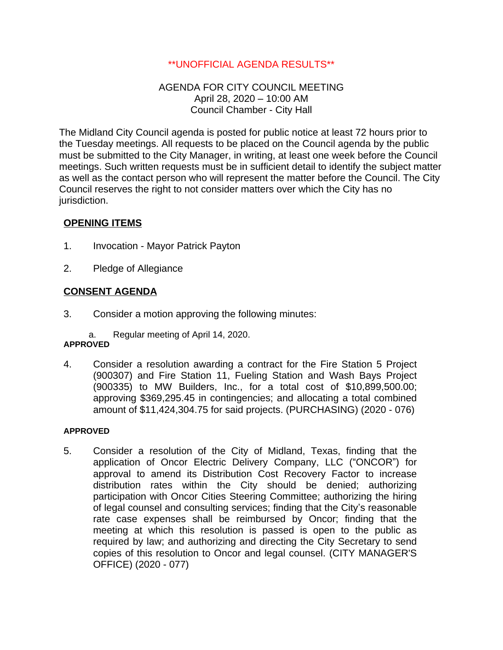# \*\*UNOFFICIAL AGENDA RESULTS\*\*

# AGENDA FOR CITY COUNCIL MEETING April 28, 2020 – 10:00 AM Council Chamber - City Hall

The Midland City Council agenda is posted for public notice at least 72 hours prior to the Tuesday meetings. All requests to be placed on the Council agenda by the public must be submitted to the City Manager, in writing, at least one week before the Council meetings. Such written requests must be in sufficient detail to identify the subject matter as well as the contact person who will represent the matter before the Council. The City Council reserves the right to not consider matters over which the City has no jurisdiction.

# **OPENING ITEMS**

- 1. Invocation Mayor Patrick Payton
- 2. Pledge of Allegiance

# **CONSENT AGENDA**

3. Consider a motion approving the following minutes:

a. Regular meeting of April 14, 2020.

# **APPROVED**

4. Consider a resolution awarding a contract for the Fire Station 5 Project (900307) and Fire Station 11, Fueling Station and Wash Bays Project (900335) to MW Builders, Inc., for a total cost of \$10,899,500.00; approving \$369,295.45 in contingencies; and allocating a total combined amount of \$11,424,304.75 for said projects. (PURCHASING) (2020 - 076)

### **APPROVED**

5. Consider a resolution of the City of Midland, Texas, finding that the application of Oncor Electric Delivery Company, LLC ("ONCOR") for approval to amend its Distribution Cost Recovery Factor to increase distribution rates within the City should be denied; authorizing participation with Oncor Cities Steering Committee; authorizing the hiring of legal counsel and consulting services; finding that the City's reasonable rate case expenses shall be reimbursed by Oncor; finding that the meeting at which this resolution is passed is open to the public as required by law; and authorizing and directing the City Secretary to send copies of this resolution to Oncor and legal counsel. (CITY MANAGER'S OFFICE) (2020 - 077)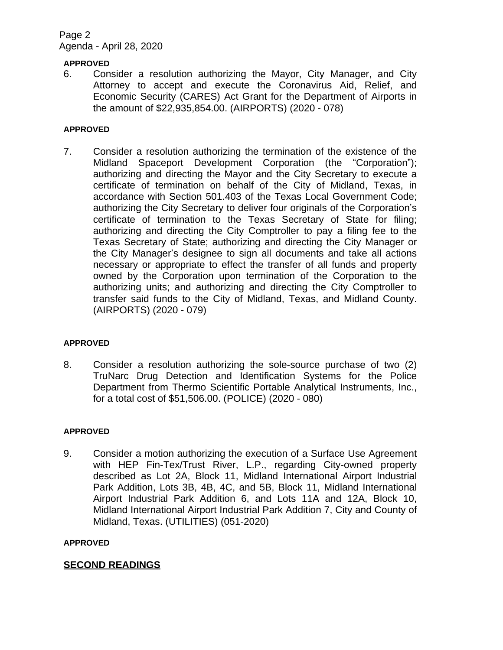# Page 2 Agenda - April 28, 2020

### **APPROVED**

6. Consider a resolution authorizing the Mayor, City Manager, and City Attorney to accept and execute the Coronavirus Aid, Relief, and Economic Security (CARES) Act Grant for the Department of Airports in the amount of \$22,935,854.00. (AIRPORTS) (2020 - 078)

#### **APPROVED**

7. Consider a resolution authorizing the termination of the existence of the Midland Spaceport Development Corporation (the "Corporation"); authorizing and directing the Mayor and the City Secretary to execute a certificate of termination on behalf of the City of Midland, Texas, in accordance with Section 501.403 of the Texas Local Government Code; authorizing the City Secretary to deliver four originals of the Corporation's certificate of termination to the Texas Secretary of State for filing; authorizing and directing the City Comptroller to pay a filing fee to the Texas Secretary of State; authorizing and directing the City Manager or the City Manager's designee to sign all documents and take all actions necessary or appropriate to effect the transfer of all funds and property owned by the Corporation upon termination of the Corporation to the authorizing units; and authorizing and directing the City Comptroller to transfer said funds to the City of Midland, Texas, and Midland County. (AIRPORTS) (2020 - 079)

#### **APPROVED**

8. Consider a resolution authorizing the sole-source purchase of two (2) TruNarc Drug Detection and Identification Systems for the Police Department from Thermo Scientific Portable Analytical Instruments, Inc., for a total cost of \$51,506.00. (POLICE) (2020 - 080)

#### **APPROVED**

9. Consider a motion authorizing the execution of a Surface Use Agreement with HEP Fin-Tex/Trust River, L.P., regarding City-owned property described as Lot 2A, Block 11, Midland International Airport Industrial Park Addition, Lots 3B, 4B, 4C, and 5B, Block 11, Midland International Airport Industrial Park Addition 6, and Lots 11A and 12A, Block 10, Midland International Airport Industrial Park Addition 7, City and County of Midland, Texas. (UTILITIES) (051-2020)

#### **APPROVED**

# **SECOND READINGS**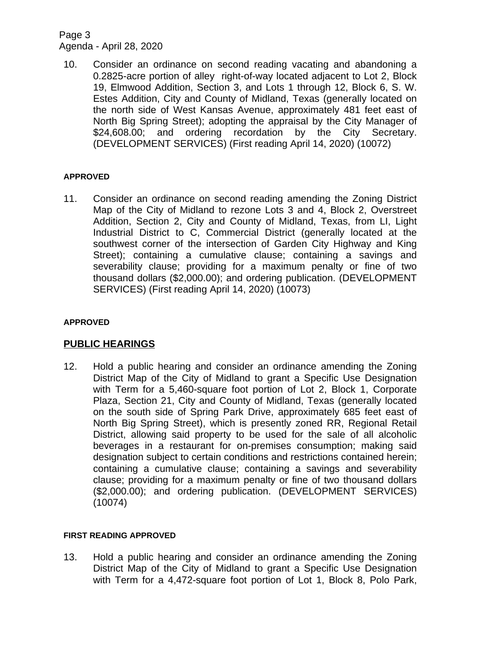# Page 3 Agenda - April 28, 2020

10. Consider an ordinance on second reading vacating and abandoning a 0.2825-acre portion of alley right-of-way located adjacent to Lot 2, Block 19, Elmwood Addition, Section 3, and Lots 1 through 12, Block 6, S. W. Estes Addition, City and County of Midland, Texas (generally located on the north side of West Kansas Avenue, approximately 481 feet east of North Big Spring Street); adopting the appraisal by the City Manager of \$24,608.00; and ordering recordation by the City Secretary. (DEVELOPMENT SERVICES) (First reading April 14, 2020) (10072)

# **APPROVED**

11. Consider an ordinance on second reading amending the Zoning District Map of the City of Midland to rezone Lots 3 and 4, Block 2, Overstreet Addition, Section 2, City and County of Midland, Texas, from LI, Light Industrial District to C, Commercial District (generally located at the southwest corner of the intersection of Garden City Highway and King Street); containing a cumulative clause; containing a savings and severability clause; providing for a maximum penalty or fine of two thousand dollars (\$2,000.00); and ordering publication. (DEVELOPMENT SERVICES) (First reading April 14, 2020) (10073)

### **APPROVED**

# **PUBLIC HEARINGS**

12. Hold a public hearing and consider an ordinance amending the Zoning District Map of the City of Midland to grant a Specific Use Designation with Term for a 5,460-square foot portion of Lot 2, Block 1, Corporate Plaza, Section 21, City and County of Midland, Texas (generally located on the south side of Spring Park Drive, approximately 685 feet east of North Big Spring Street), which is presently zoned RR, Regional Retail District, allowing said property to be used for the sale of all alcoholic beverages in a restaurant for on-premises consumption; making said designation subject to certain conditions and restrictions contained herein; containing a cumulative clause; containing a savings and severability clause; providing for a maximum penalty or fine of two thousand dollars (\$2,000.00); and ordering publication. (DEVELOPMENT SERVICES) (10074)

### **FIRST READING APPROVED**

13. Hold a public hearing and consider an ordinance amending the Zoning District Map of the City of Midland to grant a Specific Use Designation with Term for a 4,472-square foot portion of Lot 1, Block 8, Polo Park,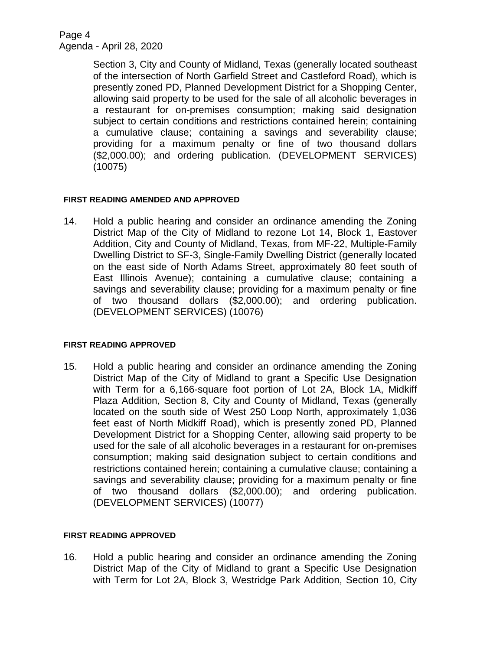Page 4 Agenda - April 28, 2020

> Section 3, City and County of Midland, Texas (generally located southeast of the intersection of North Garfield Street and Castleford Road), which is presently zoned PD, Planned Development District for a Shopping Center, allowing said property to be used for the sale of all alcoholic beverages in a restaurant for on-premises consumption; making said designation subject to certain conditions and restrictions contained herein; containing a cumulative clause; containing a savings and severability clause; providing for a maximum penalty or fine of two thousand dollars (\$2,000.00); and ordering publication. (DEVELOPMENT SERVICES) (10075)

### **FIRST READING AMENDED AND APPROVED**

14. Hold a public hearing and consider an ordinance amending the Zoning District Map of the City of Midland to rezone Lot 14, Block 1, Eastover Addition, City and County of Midland, Texas, from MF-22, Multiple-Family Dwelling District to SF-3, Single-Family Dwelling District (generally located on the east side of North Adams Street, approximately 80 feet south of East Illinois Avenue); containing a cumulative clause; containing a savings and severability clause; providing for a maximum penalty or fine of two thousand dollars (\$2,000.00); and ordering publication. (DEVELOPMENT SERVICES) (10076)

### **FIRST READING APPROVED**

15. Hold a public hearing and consider an ordinance amending the Zoning District Map of the City of Midland to grant a Specific Use Designation with Term for a 6,166-square foot portion of Lot 2A, Block 1A, Midkiff Plaza Addition, Section 8, City and County of Midland, Texas (generally located on the south side of West 250 Loop North, approximately 1,036 feet east of North Midkiff Road), which is presently zoned PD, Planned Development District for a Shopping Center, allowing said property to be used for the sale of all alcoholic beverages in a restaurant for on-premises consumption; making said designation subject to certain conditions and restrictions contained herein; containing a cumulative clause; containing a savings and severability clause; providing for a maximum penalty or fine of two thousand dollars (\$2,000.00); and ordering publication. (DEVELOPMENT SERVICES) (10077)

### **FIRST READING APPROVED**

16. Hold a public hearing and consider an ordinance amending the Zoning District Map of the City of Midland to grant a Specific Use Designation with Term for Lot 2A, Block 3, Westridge Park Addition, Section 10, City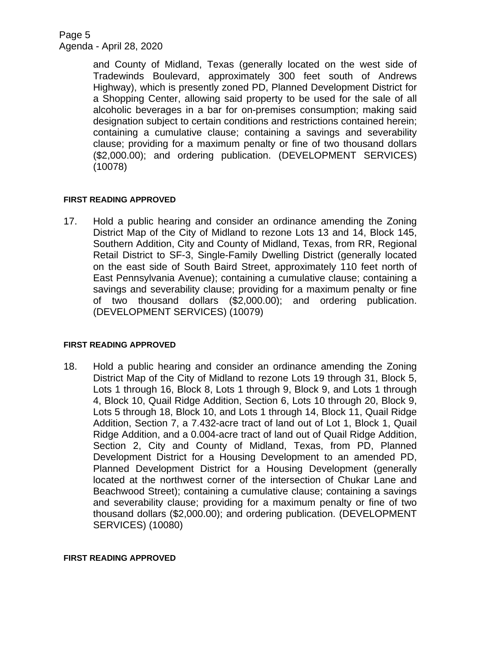Page 5 Agenda - April 28, 2020

> and County of Midland, Texas (generally located on the west side of Tradewinds Boulevard, approximately 300 feet south of Andrews Highway), which is presently zoned PD, Planned Development District for a Shopping Center, allowing said property to be used for the sale of all alcoholic beverages in a bar for on-premises consumption; making said designation subject to certain conditions and restrictions contained herein; containing a cumulative clause; containing a savings and severability clause; providing for a maximum penalty or fine of two thousand dollars (\$2,000.00); and ordering publication. (DEVELOPMENT SERVICES) (10078)

### **FIRST READING APPROVED**

17. Hold a public hearing and consider an ordinance amending the Zoning District Map of the City of Midland to rezone Lots 13 and 14, Block 145, Southern Addition, City and County of Midland, Texas, from RR, Regional Retail District to SF-3, Single-Family Dwelling District (generally located on the east side of South Baird Street, approximately 110 feet north of East Pennsylvania Avenue); containing a cumulative clause; containing a savings and severability clause; providing for a maximum penalty or fine of two thousand dollars (\$2,000.00); and ordering publication. (DEVELOPMENT SERVICES) (10079)

### **FIRST READING APPROVED**

18. Hold a public hearing and consider an ordinance amending the Zoning District Map of the City of Midland to rezone Lots 19 through 31, Block 5, Lots 1 through 16, Block 8, Lots 1 through 9, Block 9, and Lots 1 through 4, Block 10, Quail Ridge Addition, Section 6, Lots 10 through 20, Block 9, Lots 5 through 18, Block 10, and Lots 1 through 14, Block 11, Quail Ridge Addition, Section 7, a 7.432-acre tract of land out of Lot 1, Block 1, Quail Ridge Addition, and a 0.004-acre tract of land out of Quail Ridge Addition, Section 2, City and County of Midland, Texas, from PD, Planned Development District for a Housing Development to an amended PD, Planned Development District for a Housing Development (generally located at the northwest corner of the intersection of Chukar Lane and Beachwood Street); containing a cumulative clause; containing a savings and severability clause; providing for a maximum penalty or fine of two thousand dollars (\$2,000.00); and ordering publication. (DEVELOPMENT SERVICES) (10080)

### **FIRST READING APPROVED**